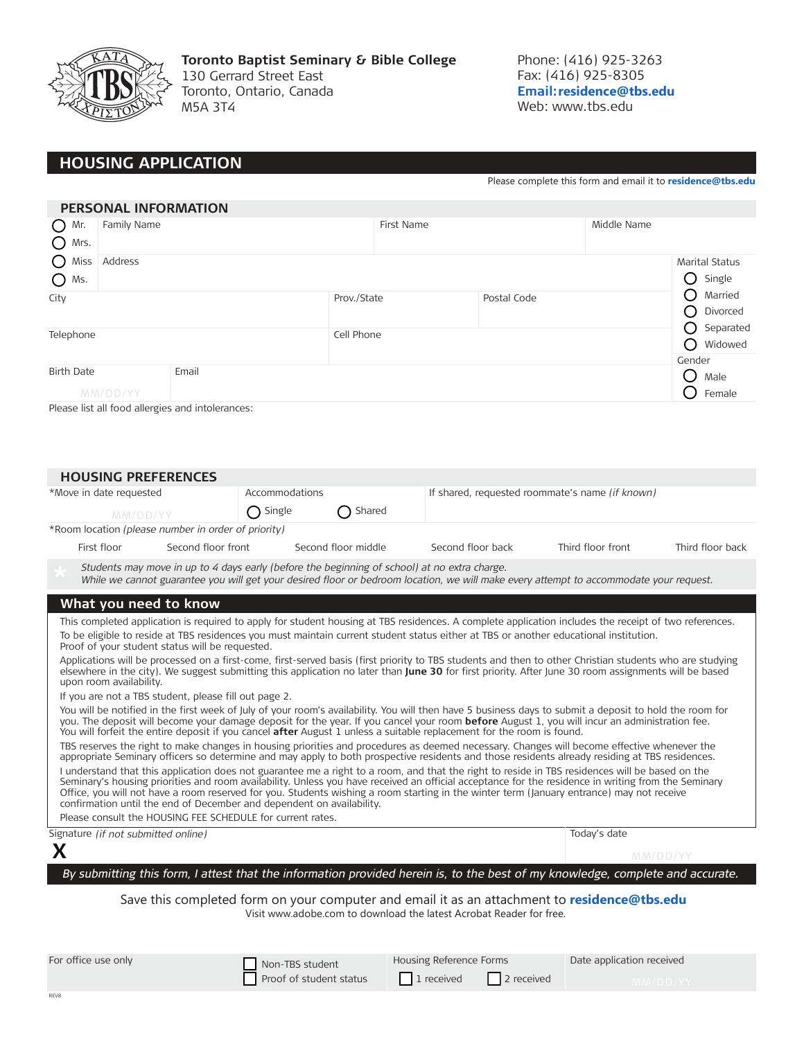

**Toronto Baptist Seminary & Bible College** 130 Gerrard Street East Toronto, Ontario, Canada M5A 3T4

Phone: (416) 925-3263 Fax: (416) 925-8305 **Email: residence@tbs.edu** Web: www.tbs.edu

# **HOUSING APPLICATION**

Please complete this form and email it to **residence@tbs.edu**

|                               | <b>PERSONAL INFORMATION</b> |                                                  |            |                                 |  |                                       |                |
|-------------------------------|-----------------------------|--------------------------------------------------|------------|---------------------------------|--|---------------------------------------|----------------|
| $O$ Mr.<br>$O$ Mrs.           | Family Name                 |                                                  |            | First Name                      |  | Middle Name                           |                |
| $\bigcirc$<br>Miss<br>$O$ Ms. | Address                     |                                                  |            | <b>Marital Status</b><br>Single |  |                                       |                |
| City                          |                             | Prov./State                                      |            | Postal Code                     |  | Married<br>( )<br>Divorced            |                |
| Telephone                     |                             |                                                  | Cell Phone |                                 |  | Separated<br>( )<br>Widowed<br>Gender |                |
| <b>Birth Date</b>             | MM/DD/YY                    | Email                                            |            |                                 |  |                                       | Male<br>Female |
|                               |                             | Please list all food allergies and intolerances: |            |                                 |  |                                       |                |

Please list all food allergies and intolerances:

| <b>HOUSING PREFERENCES</b>                                                                                                                                                                                                                                                                                                                                                                                                                                                                                                   |                                                                                                                                                                                                                                                                                                                                              |                                             |                     |                                                                                                                                                       |                                                 |                  |  |  |
|------------------------------------------------------------------------------------------------------------------------------------------------------------------------------------------------------------------------------------------------------------------------------------------------------------------------------------------------------------------------------------------------------------------------------------------------------------------------------------------------------------------------------|----------------------------------------------------------------------------------------------------------------------------------------------------------------------------------------------------------------------------------------------------------------------------------------------------------------------------------------------|---------------------------------------------|---------------------|-------------------------------------------------------------------------------------------------------------------------------------------------------|-------------------------------------------------|------------------|--|--|
| *Move in date requested                                                                                                                                                                                                                                                                                                                                                                                                                                                                                                      |                                                                                                                                                                                                                                                                                                                                              | Accommodations                              |                     |                                                                                                                                                       | If shared, requested roommate's name (if known) |                  |  |  |
| MM/DD/YY                                                                                                                                                                                                                                                                                                                                                                                                                                                                                                                     |                                                                                                                                                                                                                                                                                                                                              | Shared<br>$\bigcap$ Single<br>$\rightarrow$ |                     |                                                                                                                                                       |                                                 |                  |  |  |
|                                                                                                                                                                                                                                                                                                                                                                                                                                                                                                                              | *Room location (please number in order of priority)                                                                                                                                                                                                                                                                                          |                                             |                     |                                                                                                                                                       |                                                 |                  |  |  |
|                                                                                                                                                                                                                                                                                                                                                                                                                                                                                                                              |                                                                                                                                                                                                                                                                                                                                              |                                             | Second floor middle |                                                                                                                                                       |                                                 |                  |  |  |
| First floor                                                                                                                                                                                                                                                                                                                                                                                                                                                                                                                  | Second floor front                                                                                                                                                                                                                                                                                                                           |                                             |                     | Second floor back                                                                                                                                     | Third floor front                               | Third floor back |  |  |
|                                                                                                                                                                                                                                                                                                                                                                                                                                                                                                                              | Students may move in up to 4 days early (before the beginning of school) at no extra charge.<br>While we cannot guarantee you will get your desired floor or bedroom location, we will make every attempt to accommodate your request.                                                                                                       |                                             |                     |                                                                                                                                                       |                                                 |                  |  |  |
| What you need to know                                                                                                                                                                                                                                                                                                                                                                                                                                                                                                        |                                                                                                                                                                                                                                                                                                                                              |                                             |                     |                                                                                                                                                       |                                                 |                  |  |  |
|                                                                                                                                                                                                                                                                                                                                                                                                                                                                                                                              |                                                                                                                                                                                                                                                                                                                                              |                                             |                     | This completed application is required to apply for student housing at TBS residences. A complete application includes the receipt of two references. |                                                 |                  |  |  |
|                                                                                                                                                                                                                                                                                                                                                                                                                                                                                                                              | To be eligible to reside at TBS residences you must maintain current student status either at TBS or another educational institution.<br>Proof of your student status will be requested.                                                                                                                                                     |                                             |                     |                                                                                                                                                       |                                                 |                  |  |  |
|                                                                                                                                                                                                                                                                                                                                                                                                                                                                                                                              | Applications will be processed on a first-come, first-served basis (first priority to TBS students and then to other Christian students who are studying<br>elsewhere in the city). We suggest submitting this application no later than June 30 for first priority. After June 30 room assignments will be based<br>upon room availability. |                                             |                     |                                                                                                                                                       |                                                 |                  |  |  |
|                                                                                                                                                                                                                                                                                                                                                                                                                                                                                                                              | If you are not a TBS student, please fill out page 2.                                                                                                                                                                                                                                                                                        |                                             |                     |                                                                                                                                                       |                                                 |                  |  |  |
| You will be notified in the first week of July of your room's availability. You will then have 5 business days to submit a deposit to hold the room for<br>you. The deposit will become your damage deposit for the year. If you cancel your room <b>before</b> August 1, you will incur an administration fee.<br>You will forfeit the entire deposit if you cancel after August 1 unless a suitable replacement for the room is found.                                                                                     |                                                                                                                                                                                                                                                                                                                                              |                                             |                     |                                                                                                                                                       |                                                 |                  |  |  |
|                                                                                                                                                                                                                                                                                                                                                                                                                                                                                                                              | TBS reserves the right to make changes in housing priorities and procedures as deemed necessary. Changes will become effective whenever the<br>appropriate Seminary officers so determine and may apply to both prospective residents and those residents already residing at TBS residences.                                                |                                             |                     |                                                                                                                                                       |                                                 |                  |  |  |
| I understand that this application does not guarantee me a right to a room, and that the right to reside in TBS residences will be based on the<br>Seminary's housing priorities and room availability. Unless you have received an official acceptance for the residence in writing from the Seminary<br>Office, you will not have a room reserved for you. Students wishing a room starting in the winter term (January entrance) may not receive<br>confirmation until the end of December and dependent on availability. |                                                                                                                                                                                                                                                                                                                                              |                                             |                     |                                                                                                                                                       |                                                 |                  |  |  |
|                                                                                                                                                                                                                                                                                                                                                                                                                                                                                                                              | Please consult the HOUSING FEE SCHEDULE for current rates.                                                                                                                                                                                                                                                                                   |                                             |                     |                                                                                                                                                       |                                                 |                  |  |  |
| Signature (if not submitted online)                                                                                                                                                                                                                                                                                                                                                                                                                                                                                          |                                                                                                                                                                                                                                                                                                                                              |                                             |                     |                                                                                                                                                       | Today's date                                    |                  |  |  |
| X                                                                                                                                                                                                                                                                                                                                                                                                                                                                                                                            |                                                                                                                                                                                                                                                                                                                                              |                                             |                     |                                                                                                                                                       |                                                 | MM/DD/YY         |  |  |
|                                                                                                                                                                                                                                                                                                                                                                                                                                                                                                                              |                                                                                                                                                                                                                                                                                                                                              |                                             |                     | By submitting this form, I attest that the information provided herein is, to the best of my knowledge, complete and accurate.                        |                                                 |                  |  |  |
| Save this completed form on your computer and email it as an attachment to residence@tbs.edu<br>Visit www.adobe.com to download the latest Acrobat Reader for free.                                                                                                                                                                                                                                                                                                                                                          |                                                                                                                                                                                                                                                                                                                                              |                                             |                     |                                                                                                                                                       |                                                 |                  |  |  |
| For office use only                                                                                                                                                                                                                                                                                                                                                                                                                                                                                                          |                                                                                                                                                                                                                                                                                                                                              | $\Box$ . $\Box$                             |                     | Housing Reference Forms                                                                                                                               | Date application received                       |                  |  |  |

| For office use only | Non-TBS student         | Housing Reference Forms    | Date application received |  |
|---------------------|-------------------------|----------------------------|---------------------------|--|
|                     | Proof of student status | 1 1 received<br>2 received |                           |  |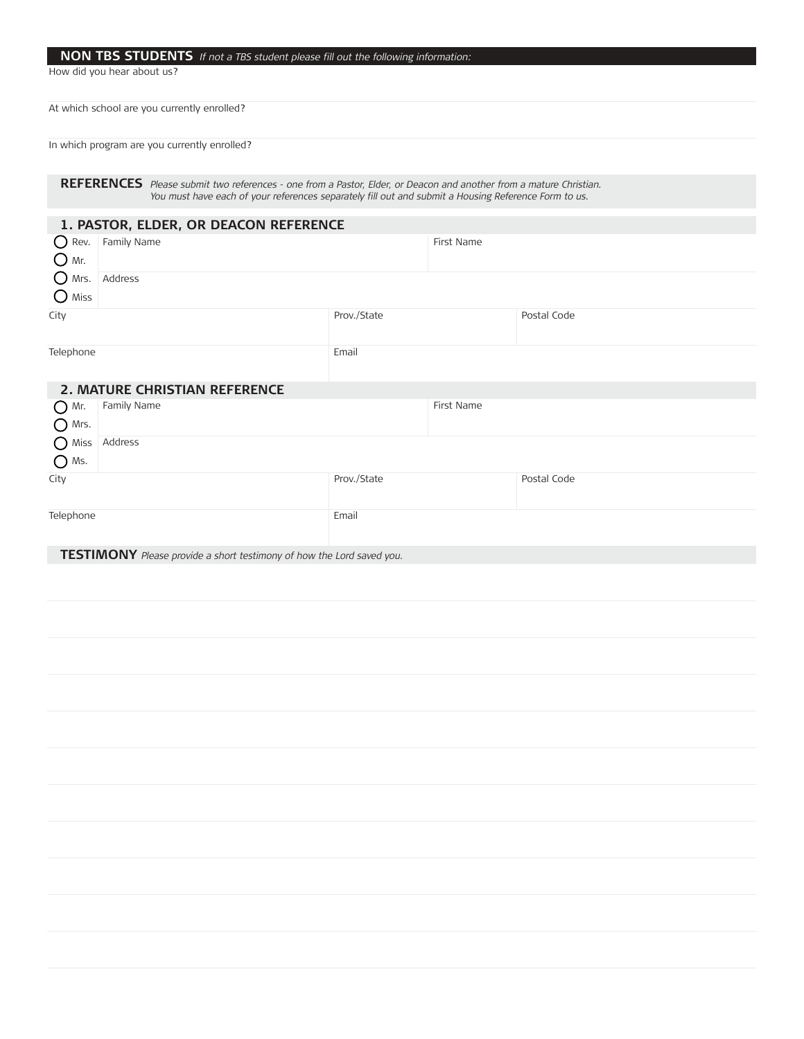#### NON TBS STUDENTS If not a TBS student please fill out the following information:

How did you hear about us?

At which school are you currently enrolled?

In which program are you currently enrolled?

**REFERENCES** Please submit two references - one from a Pastor, Elder, or Deacon and another from a mature Christian. You must have each of your references separately fill out and submit a Housing Reference Form to us.

| 1. PASTOR, ELDER, OR DEACON REFERENCE |                                      |             |            |             |  |  |  |
|---------------------------------------|--------------------------------------|-------------|------------|-------------|--|--|--|
| $\bigcup$ Rev.<br>$O$ Mr.             | Family Name                          |             | First Name |             |  |  |  |
| O<br>Mrs.<br>$\bigcirc$ Miss          | Address                              |             |            |             |  |  |  |
| City                                  |                                      | Prov./State |            | Postal Code |  |  |  |
| Telephone                             |                                      | Email       |            |             |  |  |  |
|                                       | <b>2. MATURE CHRISTIAN REFERENCE</b> |             |            |             |  |  |  |
| $O$ Mr.<br>$\bigcirc$ Mrs.            | Family Name                          | First Name  |            |             |  |  |  |
| O Miss<br>$\bigcap$ Ms.               | Address                              |             |            |             |  |  |  |
| City                                  |                                      | Prov./State |            | Postal Code |  |  |  |
| Telephone                             |                                      | Email       |            |             |  |  |  |

**TESTIMONY** Please provide a short testimony of how the Lord saved you.